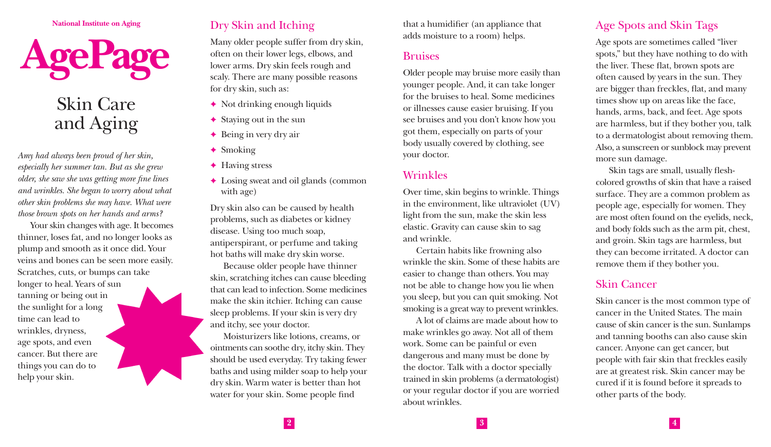**National Institute on Aging**



# Skin Care and Aging

*Amy had always been proud of her skin, especially her summer tan. But as she grew older, she saw she was getting more fine lines and wrinkles. She began to worry about what other skin problems she may have. What were those brown spots on her hands and arms?* 

Your skin changes with age. It becomes thinner, loses fat, and no longer looks as plump and smooth as it once did. Your veins and bones can be seen more easily. Scratches, cuts, or bumps can take longer to heal. Years of sun tanning or being out in the sunlight for a long time can lead to wrinkles, dryness, age spots, and even cancer. But there are things you can do to help your skin.

# Dry Skin and Itching

Many older people suffer from dry skin, often on their lower legs, elbows, and lower arms. Dry skin feels rough and scaly. There are many possible reasons for dry skin, such as:

- $\rightarrow$  Not drinking enough liquids
- $\triangleleft$  Staying out in the sun
- $\rightarrow$  Being in very dry air
- $\triangleleft$  Smoking
- $\triangle$  Having stress
- $\triangle$  Losing sweat and oil glands (common with age)

Dry skin also can be caused by health problems, such as diabetes or kidney disease. Using too much soap, antiperspirant, or perfume and taking hot baths will make dry skin worse.

Because older people have thinner skin, scratching itches can cause bleeding that can lead to infection. Some medicines make the skin itchier. Itching can cause sleep problems. If your skin is very dry and itchy, see your doctor.

Moisturizers like lotions, creams, or ointments can soothe dry, itchy skin. They should be used everyday. Try taking fewer baths and using milder soap to help your dry skin. Warm water is better than hot water for your skin. Some people find

that a humidifier (an appliance that adds moisture to a room) helps.

#### Bruises

Older people may bruise more easily than younger people. And, it can take longer for the bruises to heal. Some medicines or illnesses cause easier bruising. If you see bruises and you don't know how you got them, especially on parts of your body usually covered by clothing, see your doctor.

#### Wrinkles

Over time, skin begins to wrinkle. Things in the environment, like ultraviolet (UV) light from the sun, make the skin less elastic. Gravity can cause skin to sag and wrinkle.

Certain habits like frowning also wrinkle the skin. Some of these habits are easier to change than others. You may not be able to change how you lie when you sleep, but you can quit smoking. Not smoking is a great way to prevent wrinkles.

A lot of claims are made about how to make wrinkles go away. Not all of them work. Some can be painful or even dangerous and many must be done by the doctor. Talk with a doctor specially trained in skin problems (a dermatologist) or your regular doctor if you are worried about wrinkles.

# Age Spots and Skin Tags

Age spots are sometimes called "liver spots," but they have nothing to do with the liver. These flat, brown spots are often caused by years in the sun. They are bigger than freckles, flat, and many times show up on areas like the face, hands, arms, back, and feet. Age spots are harmless, but if they bother you, talk to a dermatologist about removing them. Also, a sunscreen or sunblock may prevent more sun damage.

Skin tags are small, usually fleshcolored growths of skin that have a raised surface. They are a common problem as people age, especially for women. They are most often found on the eyelids, neck, and body folds such as the arm pit, chest, and groin. Skin tags are harmless, but they can become irritated. A doctor can remove them if they bother you.

## Skin Cancer

Skin cancer is the most common type of cancer in the United States. The main cause of skin cancer is the sun. Sunlamps and tanning booths can also cause skin cancer. Anyone can get cancer, but people with fair skin that freckles easily are at greatest risk. Skin cancer may be cured if it is found before it spreads to other parts of the body.